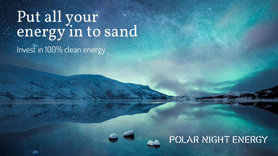# Put all your energy in to sand Invest in 100% clean energy

#### POLAR NIGHT ENERGY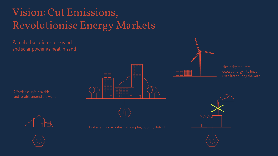## Vision: Cut Emissions, Revolutionise Energy Markets

Patented solution: store wind and solar power as heat in sand

Affordable, safe, scalable, and reliable around the world





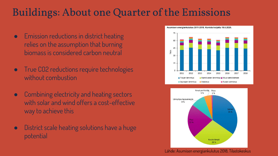### Buildings: About one Quarter of the Emissions

- Emission reductions in district heating relies on the assumption that burning biomass is considered carbon neutral
- True CO2 reductions require technologies without combustion
- **Combining electricity and heating sectors** with solar and wind offers a cost-effective way to achieve this
- District scale heating solutions have a huge potential





Lähde: Asumisen energiankulutus 2018, Tilastokeskus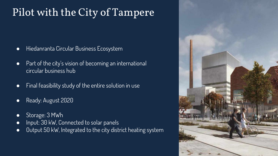## Pilot with the City of Tampere

- Hiedanranta Circular Business Ecosystem
- Part of the city's vision of becoming an international circular business hub
- Final feasibility study of the entire solution in use
- Ready: August 2020
- Storage: 3 MWh
- Input: 30 kW, Connected to solar panels
- Output 50 kW, Integrated to the city district heating system

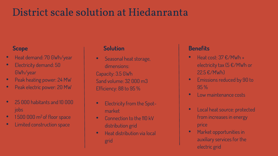### District scale solution at Hiedanranta

- Heat demand: 70 GWh/year
- Electricity demand: 50 GWh/year
- Peak heating power: 24 MW
- Peak electric power: 20 MW
- 25 000 habitants and 10 000 jobs
- 1500 000 m<sup>2</sup> of floor space
- Limited construction space

- Seasonal heat storage, dimensions: Capacity: 3.5 GWh Sand volume: 32 000 m3 Efficiency: 88 to 95 %
- Electricity from the Spotmarket
- Connection to the 110 kV distribution grid
- Heat distribution via local grid

#### **Scope Solution Benefits**

- Heat cost: 37 €/MWh + electricity tax (5 €/MWh or 22.5 €/MWh)
- Emissions reduced by 90 to 95 %
- Low maintenance costs
- Local heat source: protected from increases in energy price
- Market opportunities in auxiliary services for the electric grid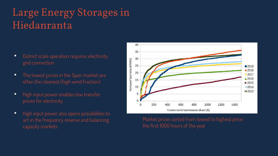### Large Energy Storages in Hiedanranta

- District scale operation requires electricity grid connection
- The lowest prices in the Spot-market are often the cleanest (high wind fraction)
- High input power enables low transfer prices for electricity
- High input power also opens possibilities to act in the frequency reserve and balancing capacity markets



Market prices sorted from lowest to highest price: the first 1000 hours of the year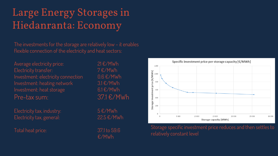## Large Energy Storages in Hiedanranta: Economy

The investments for the storage are relatively low - it enables flexible connection of the electricity and heat sectors:

Average electricity price:  $21 \text{ E} / \text{MWh}$ Electricity transfer:  $7 \text{ E} / \text{MWh}$ Investment: electricity connection 0.6 €/MWh Investment: heating network 3.1 €/MWh Investment: heat storage 6.1 €/MWh Pre-tax sum: 37.1 €/MWh

Electricity tax, industry:  $5 \in \mathcal{B}/MWh$ Electricity tax, general:  $22.5 \text{ E}/\text{MWh}$ 

Total heat price: 37.1 to 59.6

€/MWh



Storage specific investment price reduces and then settles to relatively constant level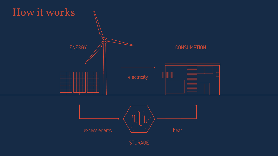



STORAGE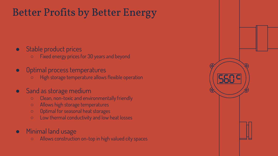### Better Profits by Better Energy

#### ● Stable product prices

- Fixed energy pricesfor 30 years and beyond
- Optimal process temperatures
	- High storage temperature allows flexible operation

#### ● Sand as storage medium

- Clean, non-toxic and environmentally friendly
- Allows high storage temperatures
- Optimal for seasonal heat storages
- Low thermal conductivity and low heat losses

#### ● Minimal land usage

○ Allows construction on-top in high valued city spaces